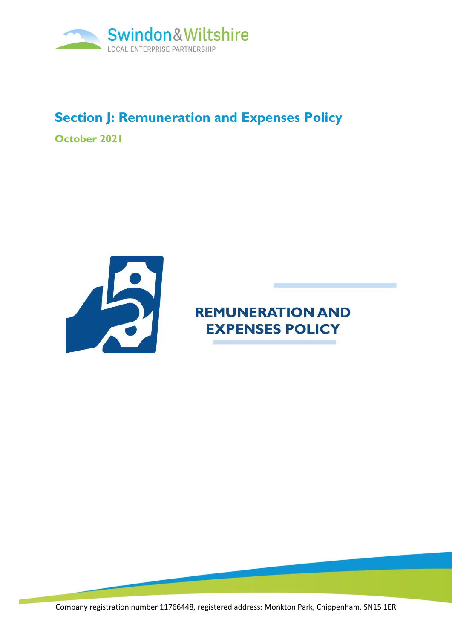

## **Section J: Remuneration and Expenses Policy**

**October 2021**



# **REMUNERATION AND EXPENSES POLICY**

m

Company registration number 11766448, registered address: Monkton Park, Chippenham, SN15 1ER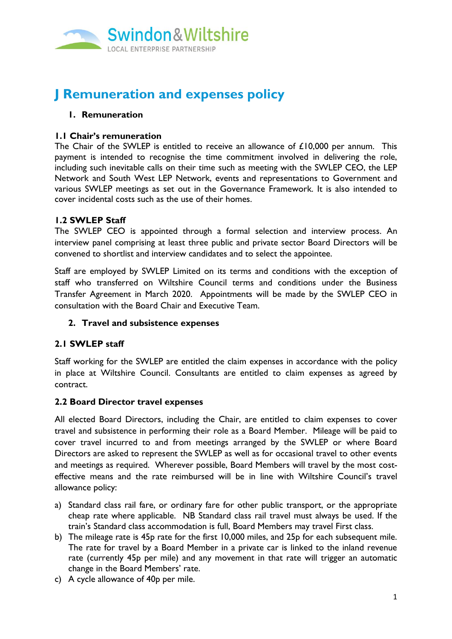

## **J Remuneration and expenses policy**

### **1. Remuneration**

#### **1.1 Chair's remuneration**

The Chair of the SWLEP is entitled to receive an allowance of £10,000 per annum. This payment is intended to recognise the time commitment involved in delivering the role, including such inevitable calls on their time such as meeting with the SWLEP CEO, the LEP Network and South West LEP Network, events and representations to Government and various SWLEP meetings as set out in the Governance Framework. It is also intended to cover incidental costs such as the use of their homes.

### **1.2 SWLEP Staff**

The SWLEP CEO is appointed through a formal selection and interview process. An interview panel comprising at least three public and private sector Board Directors will be convened to shortlist and interview candidates and to select the appointee.

Staff are employed by SWLEP Limited on its terms and conditions with the exception of staff who transferred on Wiltshire Council terms and conditions under the Business Transfer Agreement in March 2020. Appointments will be made by the SWLEP CEO in consultation with the Board Chair and Executive Team.

#### **2. Travel and subsistence expenses**

#### **2.1 SWLEP staff**

Staff working for the SWLEP are entitled the claim expenses in accordance with the policy in place at Wiltshire Council. Consultants are entitled to claim expenses as agreed by contract.

#### **2.2 Board Director travel expenses**

All elected Board Directors, including the Chair, are entitled to claim expenses to cover travel and subsistence in performing their role as a Board Member. Mileage will be paid to cover travel incurred to and from meetings arranged by the SWLEP or where Board Directors are asked to represent the SWLEP as well as for occasional travel to other events and meetings as required. Wherever possible, Board Members will travel by the most costeffective means and the rate reimbursed will be in line with Wiltshire Council's travel allowance policy:

- a) Standard class rail fare, or ordinary fare for other public transport, or the appropriate cheap rate where applicable. NB Standard class rail travel must always be used. If the train's Standard class accommodation is full, Board Members may travel First class.
- b) The mileage rate is 45p rate for the first 10,000 miles, and 25p for each subsequent mile. The rate for travel by a Board Member in a private car is linked to the inland revenue rate (currently 45p per mile) and any movement in that rate will trigger an automatic change in the Board Members' rate.
- c) A cycle allowance of 40p per mile.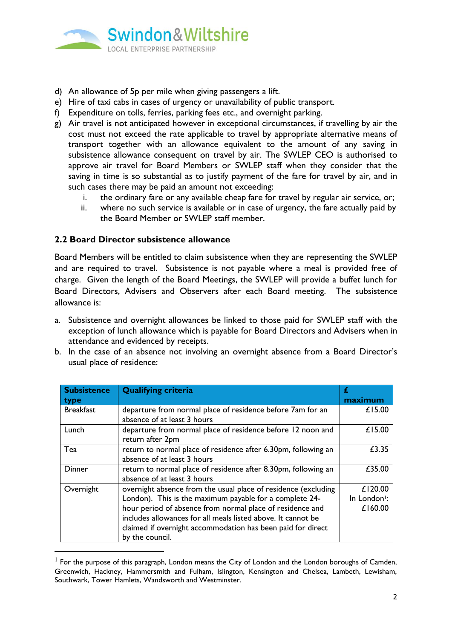

- d) An allowance of 5p per mile when giving passengers a lift.
- e) Hire of taxi cabs in cases of urgency or unavailability of public transport.
- f) Expenditure on tolls, ferries, parking fees etc., and overnight parking.
- g) Air travel is not anticipated however in exceptional circumstances, if travelling by air the cost must not exceed the rate applicable to travel by appropriate alternative means of transport together with an allowance equivalent to the amount of any saving in subsistence allowance consequent on travel by air. The SWLEP CEO is authorised to approve air travel for Board Members or SWLEP staff when they consider that the saving in time is so substantial as to justify payment of the fare for travel by air, and in such cases there may be paid an amount not exceeding:
	- i. the ordinary fare or any available cheap fare for travel by regular air service, or;
	- ii. where no such service is available or in case of urgency, the fare actually paid by the Board Member or SWLEP staff member.

#### **2.2 Board Director subsistence allowance**

Board Members will be entitled to claim subsistence when they are representing the SWLEP and are required to travel. Subsistence is not payable where a meal is provided free of charge. Given the length of the Board Meetings, the SWLEP will provide a buffet lunch for Board Directors, Advisers and Observers after each Board meeting. The subsistence allowance is:

- a. Subsistence and overnight allowances be linked to those paid for SWLEP staff with the exception of lunch allowance which is payable for Board Directors and Advisers when in attendance and evidenced by receipts.
- b. In the case of an absence not involving an overnight absence from a Board Director's usual place of residence:

| <b>Subsistence</b> | <b>Qualifying criteria</b>                                     | £                        |
|--------------------|----------------------------------------------------------------|--------------------------|
| type               |                                                                | maximum                  |
| <b>Breakfast</b>   | departure from normal place of residence before 7am for an     | £15.00                   |
|                    | absence of at least 3 hours                                    |                          |
| Lunch              | departure from normal place of residence before 12 noon and    | £15.00                   |
|                    | return after 2pm                                               |                          |
| Tea                | return to normal place of residence after 6.30pm, following an | £3.35                    |
|                    | absence of at least 3 hours                                    |                          |
| Dinner             | return to normal place of residence after 8.30pm, following an | £35.00                   |
|                    | absence of at least 3 hours                                    |                          |
| Overnight          | overnight absence from the usual place of residence (excluding | £120.00                  |
|                    | London). This is the maximum payable for a complete 24-        | In London <sup>1</sup> : |
|                    | hour period of absence from normal place of residence and      | £160.00                  |
|                    | includes allowances for all meals listed above. It cannot be   |                          |
|                    | claimed if overnight accommodation has been paid for direct    |                          |
|                    | by the council.                                                |                          |

 $<sup>1</sup>$  For the purpose of this paragraph, London means the City of London and the London boroughs of Camden,</sup> Greenwich, Hackney, Hammersmith and Fulham, Islington, Kensington and Chelsea, Lambeth, Lewisham, Southwark, Tower Hamlets, Wandsworth and Westminster.